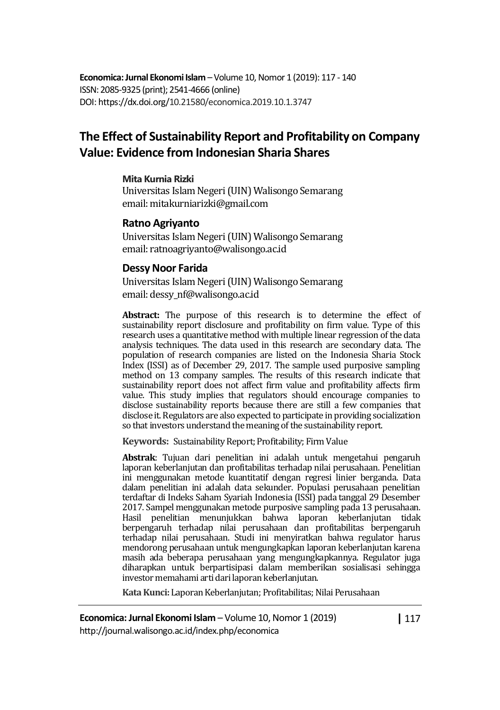**Economica: Jurnal Ekonomi Islam** – Volume 10, Nomor 1 (2019): 117 - 140 ISSN: 2085-9325 (print); 2541-4666 (online) DOI: https://dx.doi.org/10.21580/economica.2019.10.1.3747

# **The Effect of Sustainability Report and Profitability on Company Value: Evidence from Indonesian Sharia Shares**

#### **Mita Kurnia Rizki**

Universitas Islam Negeri (UIN) Walisongo Semarang email: mitakurniarizki@gmail.com

#### **Ratno Agriyanto**

Universitas Islam Negeri(UIN) Walisongo Semarang email: ratnoagriyanto@walisongo.ac.id

#### **Dessy Noor Farida**

Universitas Islam Negeri (UIN) Walisongo Semarang email: dessy\_nf@walisongo.ac.id

**Abstract:** The purpose of this research is to determine the effect of sustainability report disclosure and profitability on firm value. Type of this research uses a quantitative method with multiple linear regression of the data analysis techniques. The data used in this research are secondary data. The population of research companies are listed on the Indonesia Sharia Stock Index (ISSI) as of December 29, 2017. The sample used purposive sampling method on 13 company samples. The results of this research indicate that sustainability report does not affect firm value and profitability affects firm value. This study implies that regulators should encourage companies to disclose sustainability reports because there are still a few companies that disclose it. Regulators are also expected to participate in providing socialization so that investors understand the meaning of the sustainability report.

**Keywords:** Sustainability Report; Profitability; Firm Value

**Abstrak**: Tujuan dari penelitian ini adalah untuk mengetahui pengaruh laporan keberlanjutan dan profitabilitas terhadap nilai perusahaan. Penelitian ini menggunakan metode kuantitatif dengan regresi linier berganda. Data dalam penelitian ini adalah data sekunder. Populasi perusahaan penelitian terdaftar di Indeks Saham Syariah Indonesia (ISSI) pada tanggal 29 Desember 2017. Sampel menggunakan metode purposive sampling pada 13 perusahaan. Hasil penelitian menunjukkan bahwa laporan keberlanjutan tidak berpengaruh terhadap nilai perusahaan dan profitabilitas berpengaruh terhadap nilai perusahaan. Studi ini menyiratkan bahwa regulator harus mendorong perusahaan untuk mengungkapkan laporan keberlanjutan karena masih ada beberapa perusahaan yang mengungkapkannya. Regulator juga diharapkan untuk berpartisipasi dalam memberikan sosialisasi sehingga investor memahami arti dari laporan keberlanjutan.

**Kata Kunci:** Laporan Keberlanjutan; Profitabilitas; Nilai Perusahaan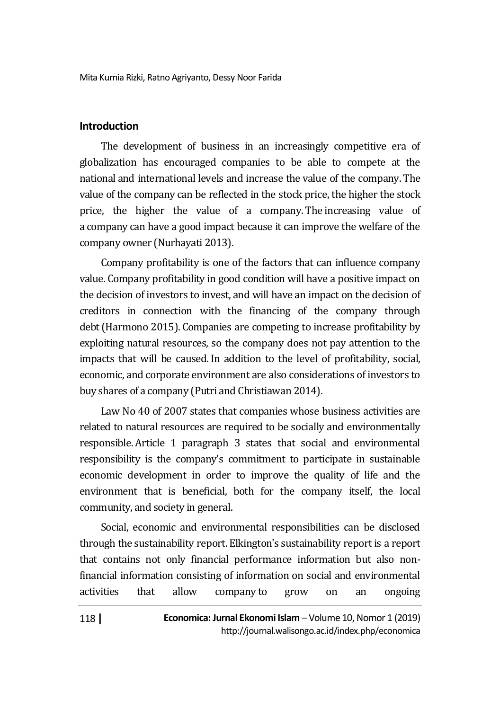### **Introduction**

The development of business in an increasingly competitive era of globalization has encouraged companies to be able to compete at the national and international levels and increase the value of the company.The value of the company can be reflected in the stock price, the higher the stock price, the higher the value of a company.The increasing value of a company can have a good impact because it can improve the welfare of the company owner (Nurhayati 2013).

Company profitability is one of the factors that can influence company value. Company profitability in good condition will have a positive impact on the decision of investors to invest, and will have an impact on the decision of creditors in connection with the financing of the company through debt(Harmono 2015). Companies are competing to increase profitability by exploiting natural resources, so the company does not pay attention to the impacts that will be caused. In addition to the level of profitability, social, economic, and corporate environment are also considerations of investors to buy shares of a company (Putri and Christiawan 2014).

Law No 40 of 2007 states that companies whose business activities are related to natural resources are required to be socially and environmentally responsible. Article 1 paragraph 3 states that social and environmental responsibility is the company's commitment to participate in sustainable economic development in order to improve the quality of life and the environment that is beneficial, both for the company itself, the local community, and society in general.

Social, economic and environmental responsibilities can be disclosed through the sustainability report. Elkington's sustainability report is a report that contains not only financial performance information but also nonfinancial information consisting of information on social and environmental activities that allow company to grow on an ongoing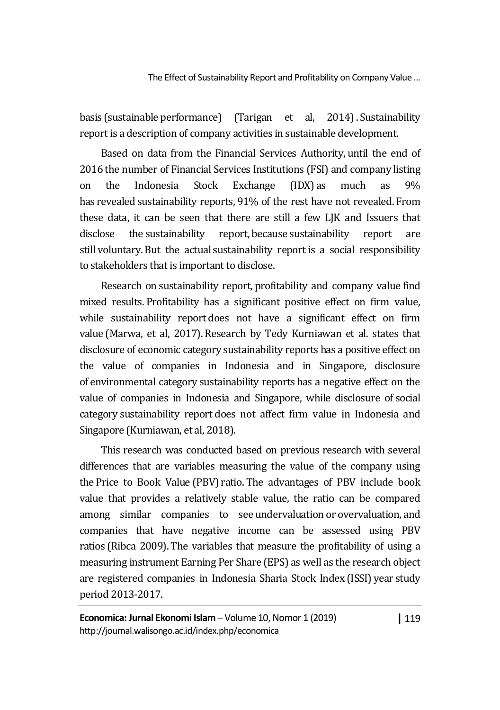basis (sustainable performance) (Tarigan et al, 2014). Sustainability report is a description of company activities in sustainable development.

Based on data from the Financial Services Authority, until the end of 2016 the number of Financial Services Institutions (FSI) and company listing on the Indonesia Stock Exchange (IDX) as much as 9% has revealed sustainability reports, 91% of the rest have not revealed. From these data, it can be seen that there are still a few LJK and Issuers that disclose the sustainability report, because sustainability report are still voluntary.But the actual sustainability report is a social responsibility to stakeholders that is important to disclose.

Research on sustainability report, profitability and company value find mixed results. Profitability has a significant positive effect on firm value, while sustainability report does not have a significant effect on firm value (Marwa, et al, 2017). Research by Tedy Kurniawan et al. states that disclosure of economic category sustainability reports has a positive effect on the value of companies in Indonesia and in Singapore, disclosure of environmental category sustainability reports has a negative effect on the value of companies in Indonesia and Singapore, while disclosure of social category sustainability report does not affect firm value in Indonesia and Singapore (Kurniawan, et al, 2018).

This research was conducted based on previous research with several differences that are variables measuring the value of the company using the Price to Book Value (PBV) ratio. The advantages of PBV include book value that provides a relatively stable value, the ratio can be compared among similar companies to see undervaluation or overvaluation, and companies that have negative income can be assessed using PBV ratios (Ribca 2009). The variables that measure the profitability of using a measuring instrument Earning Per Share (EPS) as well as the research object are registered companies in Indonesia Sharia Stock Index (ISSI) year study period 2013-2017.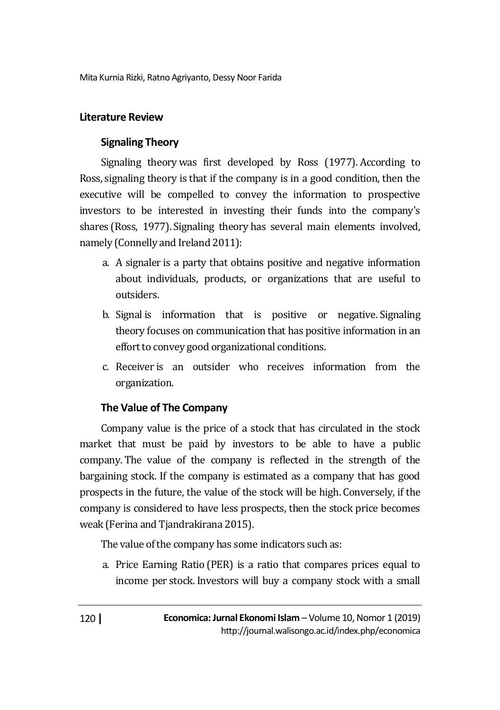## **Literature Review**

# **Signaling Theory**

Signaling theory was first developed by Ross (1977). According to Ross, signaling theory is that if the company is in a good condition, then the executive will be compelled to convey the information to prospective investors to be interested in investing their funds into the company's shares (Ross, 1977). Signaling theory has several main elements involved, namely (Connelly and Ireland 2011):

- a. A signaler is a party that obtains positive and negative information about individuals, products, or organizations that are useful to outsiders.
- b. Signal is information that is positive or negative. Signaling theory focuses on communication that has positive information in an effort to convey good organizational conditions.
- c. Receiver is an outsider who receives information from the organization.

### **The Value of The Company**

Company value is the price of a stock that has circulated in the stock market that must be paid by investors to be able to have a public company. The value of the company is reflected in the strength of the bargaining stock. If the company is estimated as a company that has good prospects in the future, the value of the stock will be high. Conversely, if the company is considered to have less prospects, then the stock price becomes weak (Ferina and Tjandrakirana 2015).

The value of the company has some indicators such as:

a. Price Earning Ratio (PER) is a ratio that compares prices equal to income per stock.Investors will buy a company stock with a small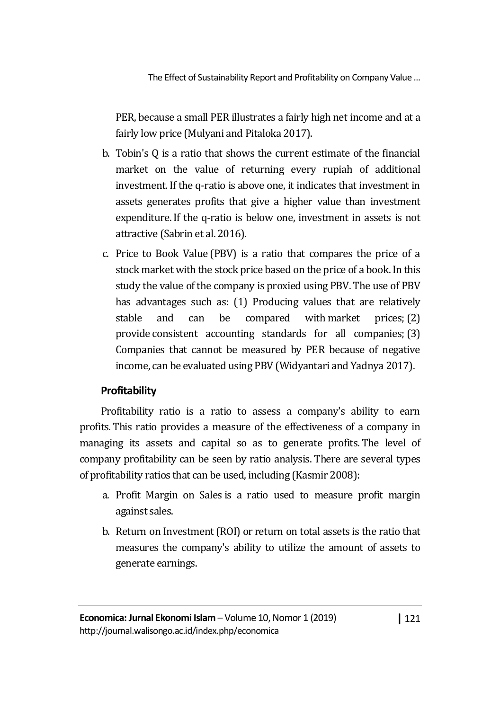PER, because a small PER illustrates a fairly high net income and at a fairly low price (Mulyani and Pitaloka 2017).

- b. Tobin's Q is a ratio that shows the current estimate of the financial market on the value of returning every rupiah of additional investment.If the q-ratio is above one, it indicates that investment in assets generates profits that give a higher value than investment expenditure.If the q-ratio is below one, investment in assets is not attractive (Sabrin et al. 2016).
- c. Price to Book Value (PBV) is a ratio that compares the price of a stock market with the stock price based on the price of a book. In this study the value of the company is proxied using PBV. The use of PBV has advantages such as: (1) Producing values that are relatively stable and can be compared with market prices; (2) provide consistent accounting standards for all companies;(3) Companies that cannot be measured by PER because of negative income, can be evaluated using PBV (Widyantari and Yadnya 2017).

# **Profitability**

Profitability ratio is a ratio to assess a company's ability to earn profits. This ratio provides a measure of the effectiveness of a company in managing its assets and capital so as to generate profits. The level of company profitability can be seen by ratio analysis. There are several types of profitability ratios that can be used, including (Kasmir 2008):

- a. Profit Margin on Sales is a ratio used to measure profit margin against sales.
- b. Return on Investment (ROI) or return on total assets is the ratio that measures the company's ability to utilize the amount of assets to generate earnings.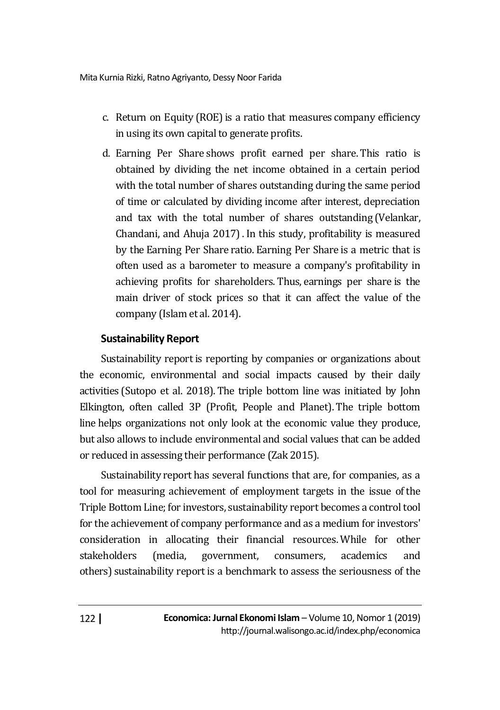- c. Return on Equity (ROE) is a ratio that measures company efficiency in using its own capital to generate profits.
- d. Earning Per Share shows profit earned per share.This ratio is obtained by dividing the net income obtained in a certain period with the total number of shares outstanding during the same period of time or calculated by dividing income after interest, depreciation and tax with the total number of shares outstanding (Velankar, Chandani, and Ahuja 2017).In this study, profitability is measured by the Earning Per Share ratio. Earning Per Share is a metric that is often used as a barometer to measure a company's profitability in achieving profits for shareholders. Thus, earnings per share is the main driver of stock prices so that it can affect the value of the company (Islam et al. 2014).

# **Sustainability Report**

Sustainability report is reporting by companies or organizations about the economic, environmental and social impacts caused by their daily activities (Sutopo et al. 2018). The triple bottom line was initiated by John Elkington, often called 3P (Profit, People and Planet). The triple bottom line helps organizations not only look at the economic value they produce, but also allows to include environmental and social values that can be added or reduced in assessing their performance (Zak 2015).

Sustainability report has several functions that are, for companies, as a tool for measuring achievement of employment targets in the issue of the Triple Bottom Line; for investors, sustainability report becomes a control tool for the achievement of company performance and as a medium for investors' consideration in allocating their financial resources. While for other stakeholders (media, government, consumers, academics and others) sustainability report is a benchmark to assess the seriousness of the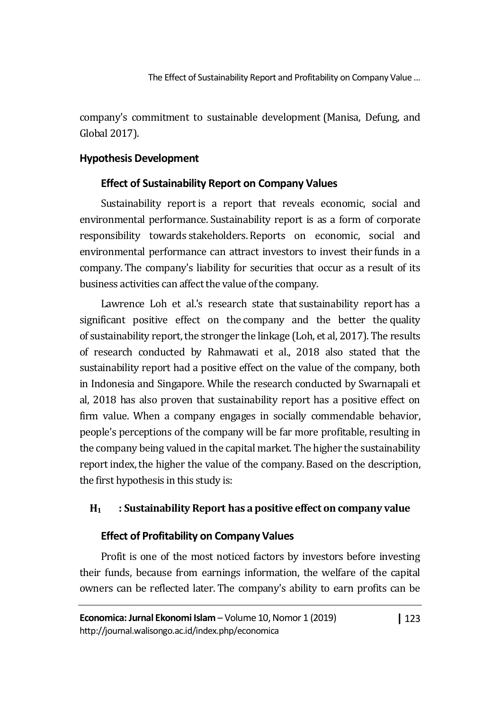company's commitment to sustainable development(Manisa, Defung, and Global 2017).

# **Hypothesis Development**

# **Effect of Sustainability Report on Company Values**

Sustainability report is a report that reveals economic, social and environmental performance. Sustainability report is as a form of corporate responsibility towards stakeholders. Reports on economic, social and environmental performance can attract investors to invest their funds in a company. The company's liability for securities that occur as a result of its business activities can affect the value of the company.

Lawrence Loh et al.'s research state that sustainability report has a significant positive effect on the company and the better the quality of sustainability report, the stronger the linkage (Loh, et al, 2017). The results of research conducted by Rahmawati et al., 2018 also stated that the sustainability report had a positive effect on the value of the company, both in Indonesia and Singapore. While the research conducted by Swarnapali et al, 2018 has also proven that sustainability report has a positive effect on firm value. When a company engages in socially commendable behavior, people's perceptions of the company will be far more profitable, resulting in the company being valued in the capital market. The higher the sustainability report index, the higher the value of the company. Based on the description, the first hypothesis in this study is:

# **H1 : Sustainability Report has a positive effect on company value**

# **Effect of Profitability on Company Values**

Profit is one of the most noticed factors by investors before investing their funds, because from earnings information, the welfare of the capital owners can be reflected later. The company's ability to earn profits can be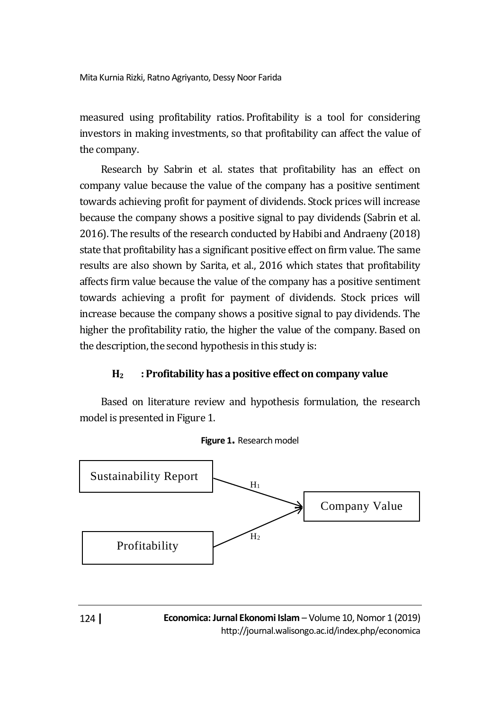measured using profitability ratios. Profitability is a tool for considering investors in making investments, so that profitability can affect the value of the company.

Research by Sabrin et al. states that profitability has an effect on company value because the value of the company has a positive sentiment towards achieving profit for payment of dividends. Stock prices will increase because the company shows a positive signal to pay dividends (Sabrin et al. 2016). The results of the research conducted by Habibi and Andraeny (2018) state that profitability has a significant positive effect on firm value. The same results are also shown by Sarita, et al., 2016 which states that profitability affects firm value because the value of the company has a positive sentiment towards achieving a profit for payment of dividends. Stock prices will increase because the company shows a positive signal to pay dividends. The higher the profitability ratio, the higher the value of the company. Based on the description, the second hypothesis in this study is:

# **H2 : Profitability has a positive effect on company value**

Based on literature review and hypothesis formulation, the research model is presented in Figure 1.



#### **Figure 1.** Research model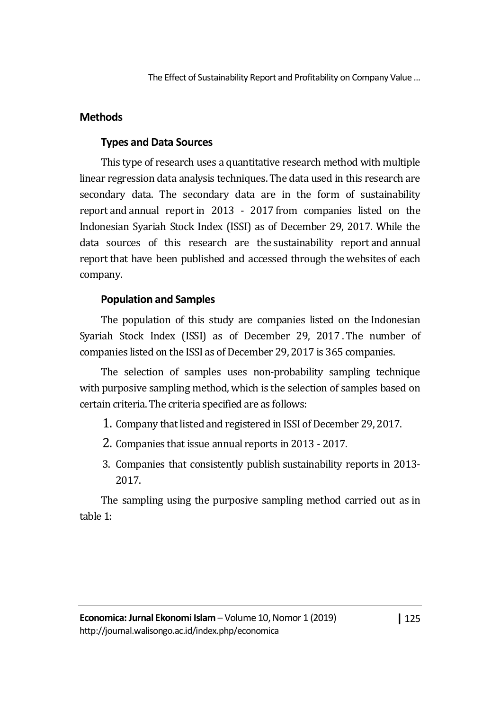# **Methods**

# **Types and Data Sources**

This type of research uses a quantitative research method with multiple linear regression data analysis techniques. The data used in this research are secondary data. The secondary data are in the form of sustainability report and annual report in 2013 - 2017 from companies listed on the Indonesian Syariah Stock Index (ISSI) as of December 29, 2017. While the data sources of this research are the sustainability report and annual report that have been published and accessed through the websites of each company.

# **Population and Samples**

The population of this study are companies listed on the Indonesian Syariah Stock Index (ISSI) as of December 29, 2017 .The number of companies listed on the ISSI as of December 29, 2017 is 365 companies.

The selection of samples uses non-probability sampling technique with purposive sampling method, which is the selection of samples based on certain criteria.The criteria specified are as follows:

1. Company that listed and registered in ISSI of December 29, 2017.

- 2. Companies that issue annual reports in 2013 2017.
- 3. Companies that consistently publish sustainability reports in 2013- 2017.

The sampling using the purposive sampling method carried out as in table 1: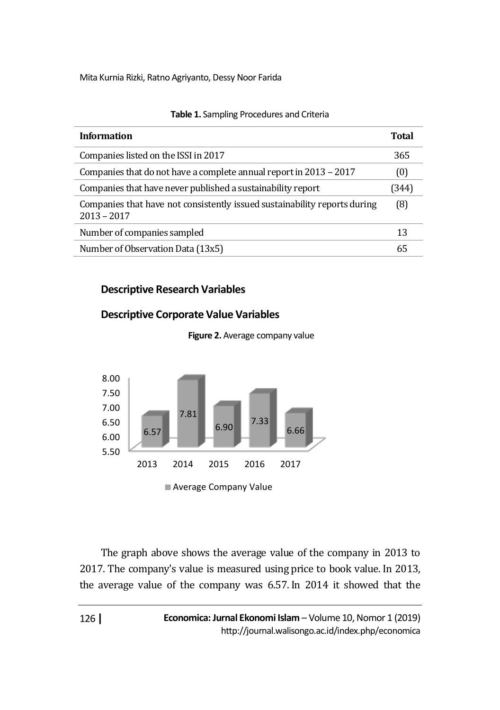| <b>Information</b>                                                                         | Total |
|--------------------------------------------------------------------------------------------|-------|
| Companies listed on the ISSI in 2017                                                       | 365   |
| Companies that do not have a complete annual report in 2013 - 2017                         | (0)   |
| Companies that have never published a sustainability report                                | (344) |
| Companies that have not consistently issued sustainability reports during<br>$2013 - 2017$ | (8)   |
| Number of companies sampled                                                                | 13    |
| Number of Observation Data (13x5)                                                          | 65    |

#### **Table 1.** Sampling Procedures and Criteria

### **Descriptive Research Variables**







The graph above shows the average value of the company in 2013 to 2017. The company's value is measured using price to book value.In 2013, the average value of the company was 6.57. In 2014 it showed that the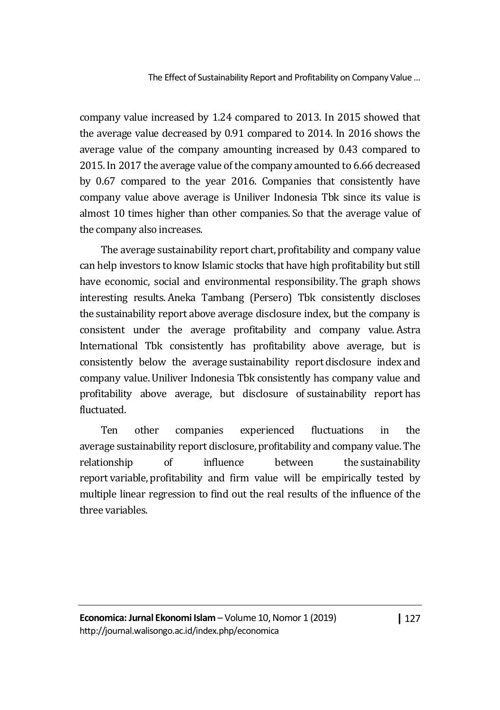company value increased by 1.24 compared to 2013. In 2015 showed that the average value decreased by 0.91 compared to 2014. In 2016 shows the average value of the company amounting increased by 0.43 compared to 2015. In 2017 the average value of the company amounted to 6.66 decreased by 0.67 compared to the year 2016. Companies that consistently have company value above average is Uniliver Indonesia Tbk since its value is almost 10 times higher than other companies. So that the average value of the company also increases.

The average sustainability report chart, profitability and company value can help investors to know Islamic stocks that have high profitability but still have economic, social and environmental responsibility. The graph shows interesting results. Aneka Tambang (Persero) Tbk consistently discloses the sustainability report above average disclosure index, but the company is consistent under the average profitability and company value. Astra International Tbk consistently has profitability above average, but is consistently below the average sustainability report disclosure index and company value.Uniliver Indonesia Tbk consistently has company value and profitability above average, but disclosure of sustainability report has fluctuated.

Ten other companies experienced fluctuations in the average sustainability report disclosure, profitability and company value.The relationship of influence between the sustainability report variable, profitability and firm value will be empirically tested by multiple linear regression to find out the real results of the influence of the three variables.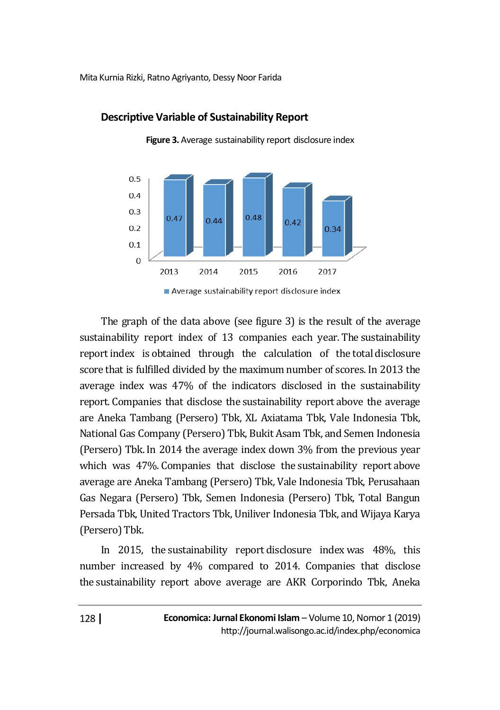

### **Descriptive Variable of Sustainability Report**

**Figure 3.** Average sustainability report disclosure index

The graph of the data above (see figure 3) is the result of the average sustainability report index of 13 companies each year. The sustainability report index is obtained through the calculation of the total disclosure score that is fulfilled divided by the maximum number of scores. In 2013 the average index was 47% of the indicators disclosed in the sustainability report. Companies that disclose the sustainability report above the average are Aneka Tambang (Persero) Tbk, XL Axiatama Tbk, Vale Indonesia Tbk, National Gas Company (Persero) Tbk, Bukit Asam Tbk, and Semen Indonesia (Persero) Tbk.In 2014 the average index down 3% from the previous year which was 47%. Companies that disclose the sustainability report above average are Aneka Tambang (Persero) Tbk, Vale Indonesia Tbk, Perusahaan Gas Negara (Persero) Tbk, Semen Indonesia (Persero) Tbk, Total Bangun Persada Tbk, United Tractors Tbk, Uniliver Indonesia Tbk, and Wijaya Karya (Persero) Tbk.

In 2015, the sustainability report disclosure index was 48%, this number increased by 4% compared to 2014. Companies that disclose the sustainability report above average are AKR Corporindo Tbk, Aneka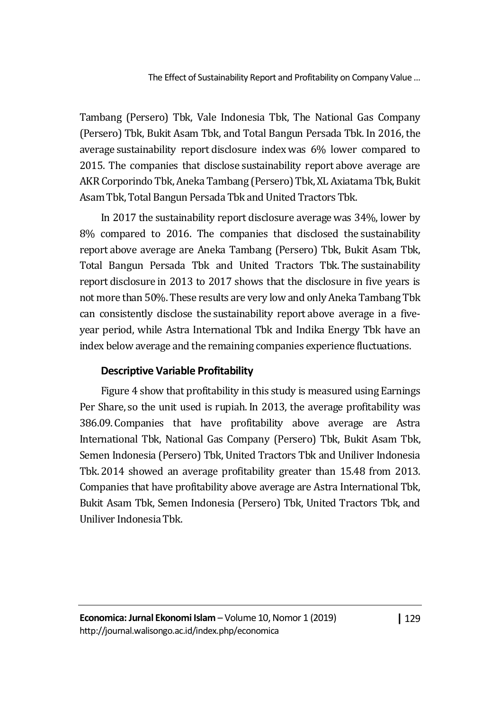Tambang (Persero) Tbk, Vale Indonesia Tbk, The National Gas Company (Persero) Tbk, Bukit Asam Tbk, and Total Bangun Persada Tbk. In 2016, the average sustainability report disclosure index was 6% lower compared to 2015. The companies that disclose sustainability report above average are AKR Corporindo Tbk, Aneka Tambang (Persero) Tbk, XL Axiatama Tbk, Bukit Asam Tbk, Total Bangun Persada Tbk and United Tractors Tbk.

In 2017 the sustainability report disclosure average was 34%, lower by 8% compared to 2016. The companies that disclosed the sustainability report above average are Aneka Tambang (Persero) Tbk, Bukit Asam Tbk, Total Bangun Persada Tbk and United Tractors Tbk. The sustainability report disclosure in 2013 to 2017 shows that the disclosure in five years is not more than 50%. These results are very low and only Aneka Tambang Tbk can consistently disclose the sustainability report above average in a fiveyear period, while Astra International Tbk and Indika Energy Tbk have an index below average and the remaining companies experience fluctuations.

# **Descriptive Variable Profitability**

Figure 4 show that profitability in this study is measured using Earnings Per Share, so the unit used is rupiah. In 2013, the average profitability was 386.09. Companies that have profitability above average are Astra International Tbk, National Gas Company (Persero) Tbk, Bukit Asam Tbk, Semen Indonesia (Persero) Tbk, United Tractors Tbk and Uniliver Indonesia Tbk. 2014 showed an average profitability greater than 15.48 from 2013. Companies that have profitability above average are Astra International Tbk, Bukit Asam Tbk, Semen Indonesia (Persero) Tbk, United Tractors Tbk, and Uniliver Indonesia Tbk.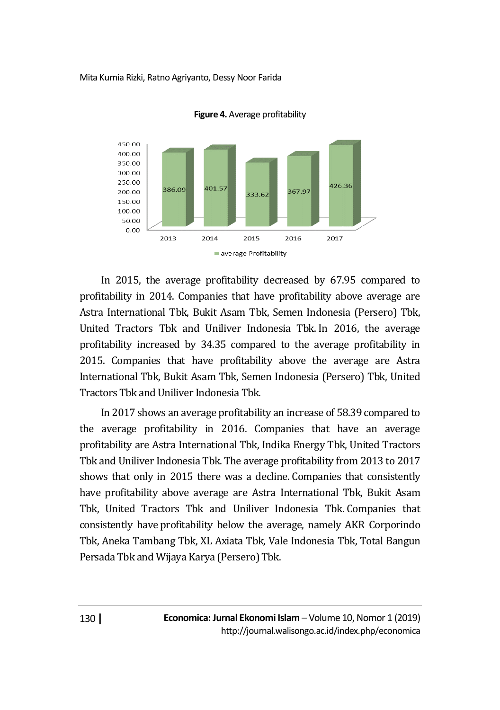

**Figure 4.** Average profitability

In 2015, the average profitability decreased by 67.95 compared to profitability in 2014. Companies that have profitability above average are Astra International Tbk, Bukit Asam Tbk, Semen Indonesia (Persero) Tbk, United Tractors Tbk and Uniliver Indonesia Tbk. In 2016, the average profitability increased by 34.35 compared to the average profitability in 2015. Companies that have profitability above the average are Astra International Tbk, Bukit Asam Tbk, Semen Indonesia (Persero) Tbk, United Tractors Tbk and Uniliver Indonesia Tbk.

In 2017 shows an average profitability an increase of 58.39 compared to the average profitability in 2016. Companies that have an average profitability are Astra International Tbk, Indika Energy Tbk, United Tractors Tbk and Uniliver Indonesia Tbk. The average profitability from 2013 to 2017 shows that only in 2015 there was a decline. Companies that consistently have profitability above average are Astra International Tbk, Bukit Asam Tbk, United Tractors Tbk and Uniliver Indonesia Tbk. Companies that consistently have profitability below the average, namely AKR Corporindo Tbk, Aneka Tambang Tbk, XL Axiata Tbk, Vale Indonesia Tbk, Total Bangun Persada Tbk and Wijaya Karya (Persero) Tbk.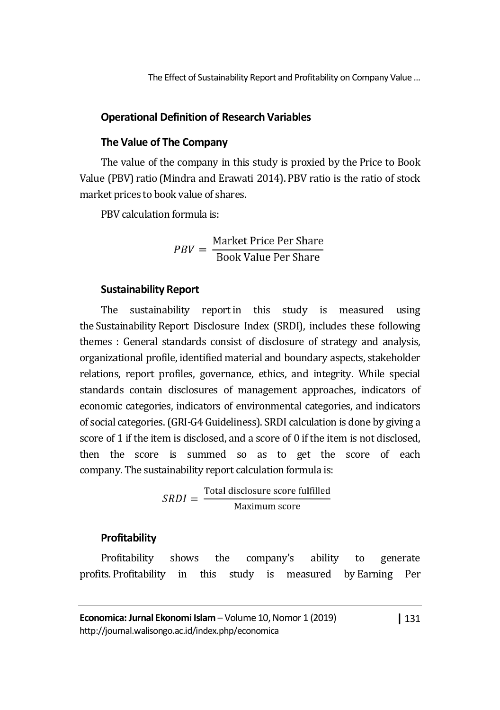### **Operational Definition of Research Variables**

### **The Value of The Company**

The value of the company in this study is proxied by the Price to Book Value (PBV) ratio (Mindra and Erawati 2014). PBV ratio is the ratio of stock market prices to book value of shares.

PBV calculation formula is:

$$
PBV = \frac{\text{Market Price Per Share}}{\text{Book Value Per Share}}
$$

### **Sustainability Report**

The sustainability report in this study is measured using the Sustainability Report Disclosure Index (SRDI), includes these following themes : General standards consist of disclosure of strategy and analysis, organizational profile, identified material and boundary aspects, stakeholder relations, report profiles, governance, ethics, and integrity. While special standards contain disclosures of management approaches, indicators of economic categories, indicators of environmental categories, and indicators of social categories.(GRI-G4 Guideliness). SRDI calculation is done by giving a score of 1 if the item is disclosed, and a score of 0 if the item is not disclosed, then the score is summed so as to get the score of each company. The sustainability report calculation formula is:

$$
SRDI = \frac{\text{Total disclosure score fulfilled}}{\text{Maximum score}}
$$

# **Profitability**

Profitability shows the company's ability to generate profits. Profitability in this study is measured by Earning Per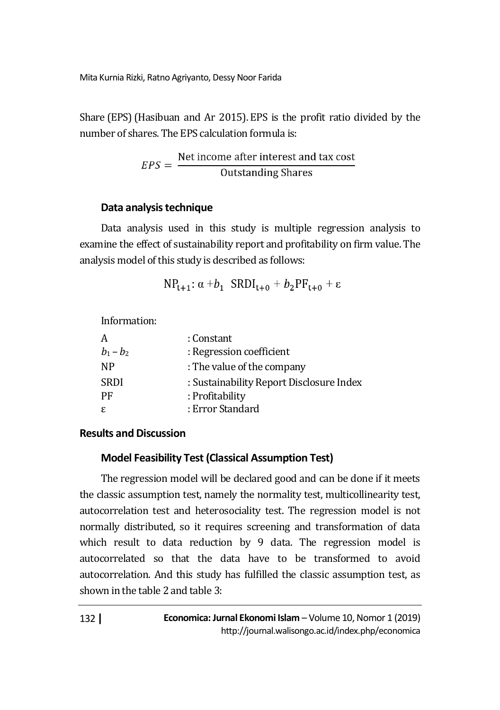Share (EPS)(Hasibuan and Ar 2015). EPS is the profit ratio divided by the number of shares. The EPS calculation formula is:

$$
EPS = \frac{\text{Net income after interest and tax cost}}{\text{Outstanding Shares}}
$$

# **Data analysis technique**

Data analysis used in this study is multiple regression analysis to examine the effect of sustainability report and profitability on firm value. The analysis model of this study is described as follows:

$$
NP_{t+1}: \alpha + b_1 \quad SRDI_{t+0} + b_2PF_{t+0} + \varepsilon
$$

Information:

| A           | : Constant                               |
|-------------|------------------------------------------|
| $b_1 - b_2$ | : Regression coefficient                 |
| <b>NP</b>   | : The value of the company               |
| <b>SRDI</b> | : Sustainability Report Disclosure Index |
| PF          | : Profitability                          |
| ε           | : Error Standard                         |

# **Results and Discussion**

# **Model Feasibility Test (Classical Assumption Test)**

The regression model will be declared good and can be done if it meets the classic assumption test, namely the normality test, multicollinearity test, autocorrelation test and heterosociality test. The regression model is not normally distributed, so it requires screening and transformation of data which result to data reduction by 9 data. The regression model is autocorrelated so that the data have to be transformed to avoid autocorrelation. And this study has fulfilled the classic assumption test, as shown in the table 2 and table 3: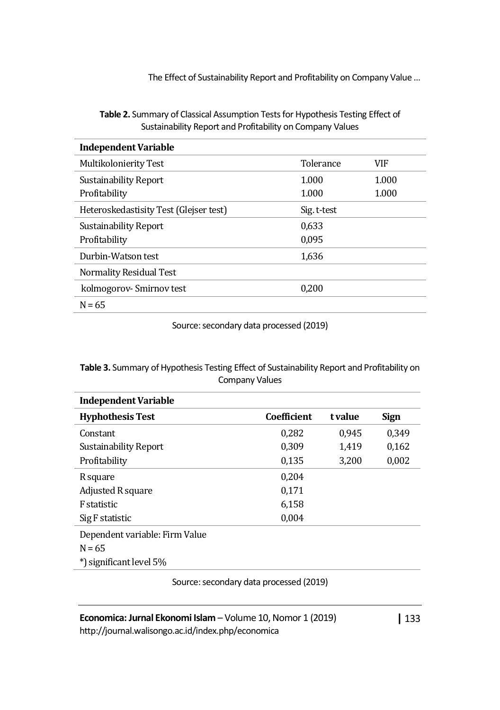| <b>Table 2.</b> Summary of Classical Assumption Tests for Hypothesis Testing Effect of |
|----------------------------------------------------------------------------------------|
| Sustainability Report and Profitability on Company Values                              |

| <b>Independent Variable</b>            |             |       |  |
|----------------------------------------|-------------|-------|--|
| Multikolonierity Test                  | Tolerance   | VIF   |  |
| 1.000<br><b>Sustainability Report</b>  |             | 1.000 |  |
| Profitability                          | 1.000       | 1.000 |  |
| Heteroskedastisity Test (Glejser test) | Sig. t-test |       |  |
| Sustainability Report                  | 0,633       |       |  |
| Profitability                          | 0.095       |       |  |
| Durbin-Watson test                     | 1,636       |       |  |
| Normality Residual Test                |             |       |  |
| kolmogorov-Smirnov test                | 0,200       |       |  |
| $N = 65$                               |             |       |  |

Source: secondary data processed (2019)

#### **Table 3.** Summary of Hypothesis Testing Effect of Sustainability Report and Profitability on Company Values

| <b>Independent Variable</b>    |             |         |             |
|--------------------------------|-------------|---------|-------------|
| <b>Hyphothesis Test</b>        | Coefficient | t value | <b>Sign</b> |
| Constant                       | 0,282       | 0.945   | 0.349       |
| Sustainability Report          | 0.309       | 1,419   | 0,162       |
| Profitability                  | 0,135       | 3,200   | 0,002       |
| R square                       | 0,204       |         |             |
| Adjusted R square              | 0.171       |         |             |
| F statistic                    | 6,158       |         |             |
| Sig F statistic                | 0,004       |         |             |
| Dependent variable: Firm Value |             |         |             |
| $N = 65$                       |             |         |             |
| significant level 5%           |             |         |             |

Source: secondary data processed (2019)

http://journal.walisongo.ac.id/index.php/economica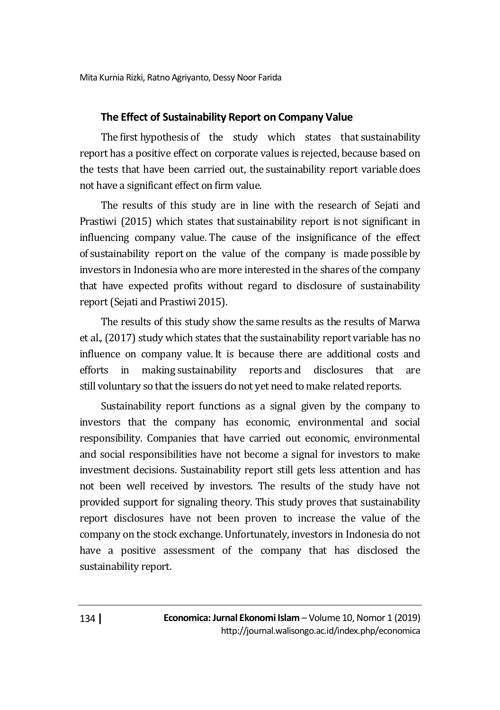### **The Effect of Sustainability Report on Company Value**

The first hypothesis of the study which states that sustainability report has a positive effect on corporate values is rejected, because based on the tests that have been carried out, the sustainability report variable does not have a significant effect on firm value.

The results of this study are in line with the research of Sejati and Prastiwi (2015) which states that sustainability report is not significant in influencing company value. The cause of the insignificance of the effect of sustainability report on the value of the company is made possible by investors in Indonesiawho are more interested in the shares of the company that have expected profits without regard to disclosure of sustainability report(Sejati and Prastiwi 2015).

The results of this study show the same results as the results of Marwa et al., (2017) study which states that the sustainability report variable has no influence on company value. It is because there are additional costs and efforts in making sustainability reports and disclosures that are still voluntary so that the issuers do not yet need to make related reports.

Sustainability report functions as a signal given by the company to investors that the company has economic, environmental and social responsibility. Companies that have carried out economic, environmental and social responsibilities have not become a signal for investors to make investment decisions. Sustainability report still gets less attention and has not been well received by investors. The results of the study have not provided support for signaling theory. This study proves that sustainability report disclosures have not been proven to increase the value of the company on the stock exchange. Unfortunately, investors in Indonesia do not have a positive assessment of the company that has disclosed the sustainability report.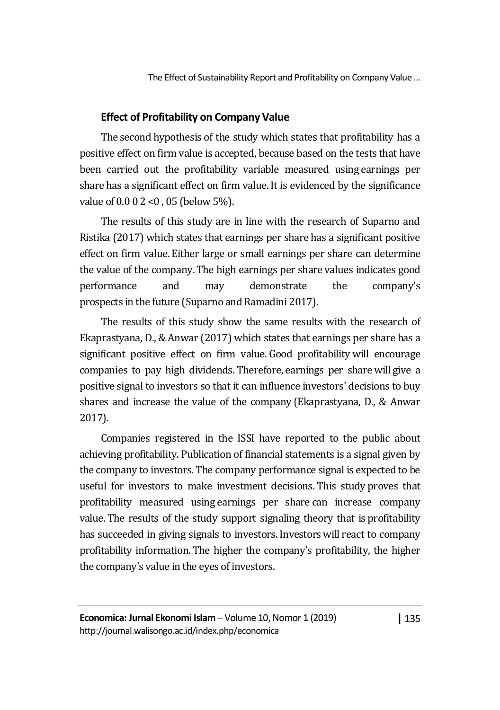### **Effect of Profitability on Company Value**

The second hypothesis of the study which states that profitability has a positive effect on firm value is accepted, because based on the tests that have been carried out the profitability variable measured using earnings per share has a significant effect on firm value. It is evidenced by the significance value of 0.0 0 2 <0 , 05 (below 5%).

The results of this study are in line with the research of Suparno and Ristika (2017) which states that earnings per share has a significant positive effect on firm value. Either large or small earnings per share can determine the value of the company.The high earnings per share values indicates good performance and may demonstrate the company's prospects in the future (Suparno and Ramadini 2017).

The results of this study show the same results with the research of Ekaprastyana, D., & Anwar (2017) which states that earnings per share has a significant positive effect on firm value. Good profitability will encourage companies to pay high dividends. Therefore, earnings per share will give a positive signal to investors so that it can influence investors' decisions to buy shares and increase the value of the company (Ekaprastyana, D., & Anwar 2017).

Companies registered in the ISSI have reported to the public about achieving profitability. Publication of financial statements is a signal given by the company to investors. The company performance signal is expected to be useful for investors to make investment decisions. This study proves that profitability measured using earnings per share can increase company value. The results of the study support signaling theory that is profitability has succeeded in giving signals to investors. Investors will react to company profitability information.The higher the company's profitability, the higher the company's value in the eyes of investors.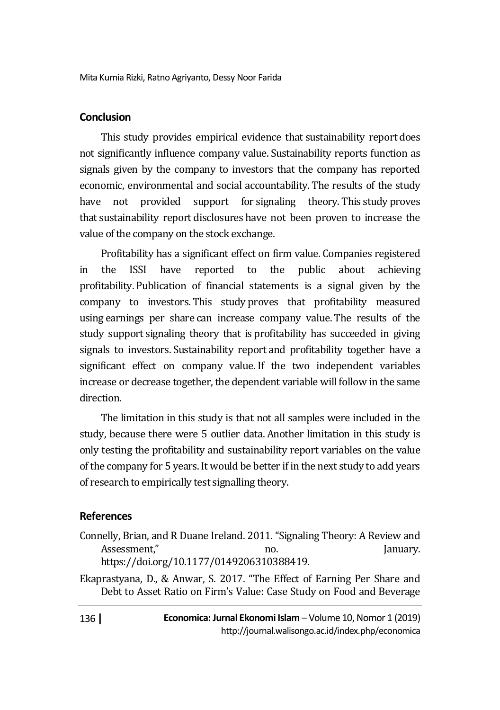# **Conclusion**

This study provides empirical evidence that sustainability report does not significantly influence company value. Sustainability reports function as signals given by the company to investors that the company has reported economic, environmental and social accountability. The results of the study have not provided support for signaling theory. This study proves that sustainability report disclosures have not been proven to increase the value of the company on the stock exchange.

Profitability has a significant effect on firm value. Companies registered in the ISSI have reported to the public about achieving profitability. Publication of financial statements is a signal given by the company to investors. This study proves that profitability measured using earnings per share can increase company value. The results of the study support signaling theory that is profitability has succeeded in giving signals to investors. Sustainability report and profitability together have a significant effect on company value. If the two independent variables increase or decrease together, the dependent variable will follow in the same direction.

The limitation in this study is that not all samples were included in the study, because there were 5 outlier data. Another limitation in this study is only testing the profitability and sustainability report variables on the value of the company for 5 years. It would be better if in the next study to add years of research to empirically test signalling theory.

# **References**

Connelly, Brian, and R Duane Ireland. 2011. "Signaling Theory: A Review and Assessment," and the monotonical contract of the parameters of the set of the set of the parameters of the set of the set of the set of the set of the set of the set of the set of the set of the set of the set of the set o https://doi.org/10.1177/0149206310388419.

Ekaprastyana, D., & Anwar, S. 2017. "The Effect of Earning Per Share and Debt to Asset Ratio on Firm's Value: Case Study on Food and Beverage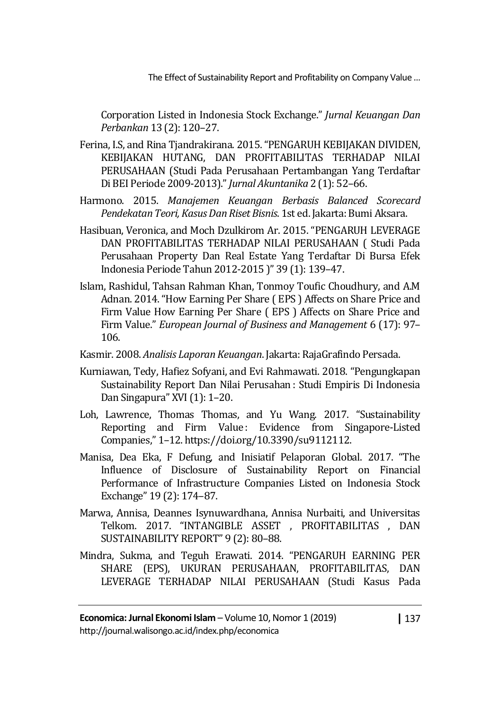Corporation Listed in Indonesia Stock Exchange." *Jurnal Keuangan Dan Perbankan* 13 (2): 120–27.

- Ferina, I.S, and Rina Tjandrakirana. 2015. "PENGARUH KEBIJAKAN DIVIDEN, KEBIJAKAN HUTANG, DAN PROFITABILITAS TERHADAP NILAI PERUSAHAAN (Studi Pada Perusahaan Pertambangan Yang Terdaftar Di BEI Periode 2009-2013)." *Jurnal Akuntanika* 2 (1): 52–66.
- Harmono. 2015. *Manajemen Keuangan Berbasis Balanced Scorecard Pendekatan Teori, Kasus Dan Riset Bisnis*. 1st ed. Jakarta: Bumi Aksara.
- Hasibuan, Veronica, and Moch Dzulkirom Ar. 2015. "PENGARUH LEVERAGE DAN PROFITABILITAS TERHADAP NILAI PERUSAHAAN ( Studi Pada Perusahaan Property Dan Real Estate Yang Terdaftar Di Bursa Efek Indonesia Periode Tahun 2012-2015 )" 39 (1): 139–47.
- Islam, Rashidul, Tahsan Rahman Khan, Tonmoy Toufic Choudhury, and A.M Adnan. 2014. "How Earning Per Share ( EPS ) Affects on Share Price and Firm Value How Earning Per Share ( EPS ) Affects on Share Price and Firm Value." *European Journal of Business and Management* 6 (17): 97– 106.
- Kasmir. 2008. *Analisis Laporan Keuangan*. Jakarta: RajaGrafindo Persada.
- Kurniawan, Tedy, Hafiez Sofyani, and Evi Rahmawati. 2018. "Pengungkapan Sustainability Report Dan Nilai Perusahan : Studi Empiris Di Indonesia Dan Singapura" XVI (1): 1–20.
- Loh, Lawrence, Thomas Thomas, and Yu Wang. 2017. "Sustainability Reporting and Firm Value : Evidence from Singapore-Listed Companies," 1–12. https://doi.org/10.3390/su9112112.
- Manisa, Dea Eka, F Defung, and Inisiatif Pelaporan Global. 2017. "The Influence of Disclosure of Sustainability Report on Financial Performance of Infrastructure Companies Listed on Indonesia Stock Exchange" 19 (2): 174–87.
- Marwa, Annisa, Deannes Isynuwardhana, Annisa Nurbaiti, and Universitas Telkom. 2017. "INTANGIBLE ASSET , PROFITABILITAS , DAN SUSTAINABILITY REPORT" 9 (2): 80–88.
- Mindra, Sukma, and Teguh Erawati. 2014. "PENGARUH EARNING PER SHARE (EPS), UKURAN PERUSAHAAN, PROFITABILITAS, DAN LEVERAGE TERHADAP NILAI PERUSAHAAN (Studi Kasus Pada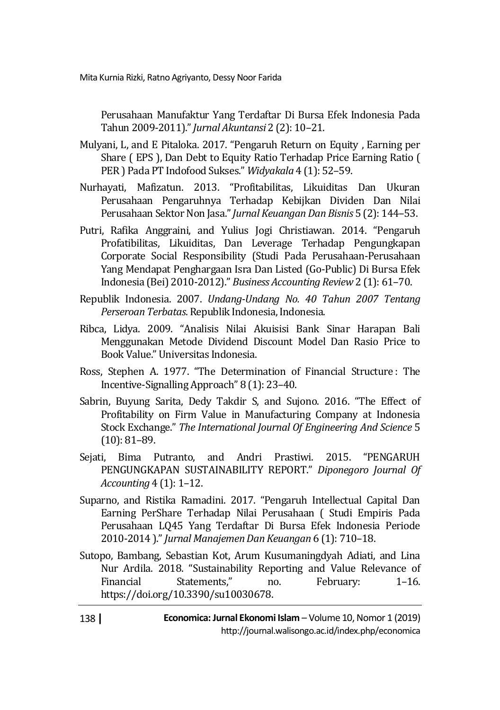Perusahaan Manufaktur Yang Terdaftar Di Bursa Efek Indonesia Pada Tahun 2009-2011)." *Jurnal Akuntansi* 2 (2): 10–21.

Mulyani, L, and E Pitaloka. 2017. "Pengaruh Return on Equity , Earning per Share ( EPS ), Dan Debt to Equity Ratio Terhadap Price Earning Ratio ( PER ) Pada PT Indofood Sukses." *Widyakala* 4 (1): 52–59.

- Nurhayati, Mafizatun. 2013. "Profitabilitas, Likuiditas Dan Ukuran Perusahaan Pengaruhnya Terhadap Kebijkan Dividen Dan Nilai Perusahaan Sektor Non Jasa." *Jurnal Keuangan Dan Bisnis* 5 (2): 144–53.
- Putri, Rafika Anggraini, and Yulius Jogi Christiawan. 2014. "Pengaruh Profatibilitas, Likuiditas, Dan Leverage Terhadap Pengungkapan Corporate Social Responsibility (Studi Pada Perusahaan-Perusahaan Yang Mendapat Penghargaan Isra Dan Listed (Go-Public) Di Bursa Efek Indonesia (Bei) 2010-2012)." *Business Accounting Review* 2 (1): 61–70.
- Republik Indonesia. 2007. *Undang-Undang No. 40 Tahun 2007 Tentang Perseroan Terbatas*. Republik Indonesia, Indonesia.
- Ribca, Lidya. 2009. "Analisis Nilai Akuisisi Bank Sinar Harapan Bali Menggunakan Metode Dividend Discount Model Dan Rasio Price to Book Value." Universitas Indonesia.
- Ross, Stephen A. 1977. "The Determination of Financial Structure: The Incentive-Signalling Approach" 8 (1): 23–40.
- Sabrin, Buyung Sarita, Dedy Takdir S, and Sujono. 2016. "The Effect of Profitability on Firm Value in Manufacturing Company at Indonesia Stock Exchange." *The International Journal Of Engineering And Science* 5 (10): 81–89.
- Sejati, Bima Putranto, and Andri Prastiwi. 2015. "PENGARUH PENGUNGKAPAN SUSTAINABILITY REPORT." *Diponegoro Journal Of Accounting* 4 (1): 1–12.
- Suparno, and Ristika Ramadini. 2017. "Pengaruh Intellectual Capital Dan Earning PerShare Terhadap Nilai Perusahaan ( Studi Empiris Pada Perusahaan LQ45 Yang Terdaftar Di Bursa Efek Indonesia Periode 2010-2014 )." *Jurnal Manajemen Dan Keuangan* 6 (1): 710–18.
- Sutopo, Bambang, Sebastian Kot, Arum Kusumaningdyah Adiati, and Lina Nur Ardila. 2018. "Sustainability Reporting and Value Relevance of Financial Statements," no. February: 1–16. https://doi.org/10.3390/su10030678.